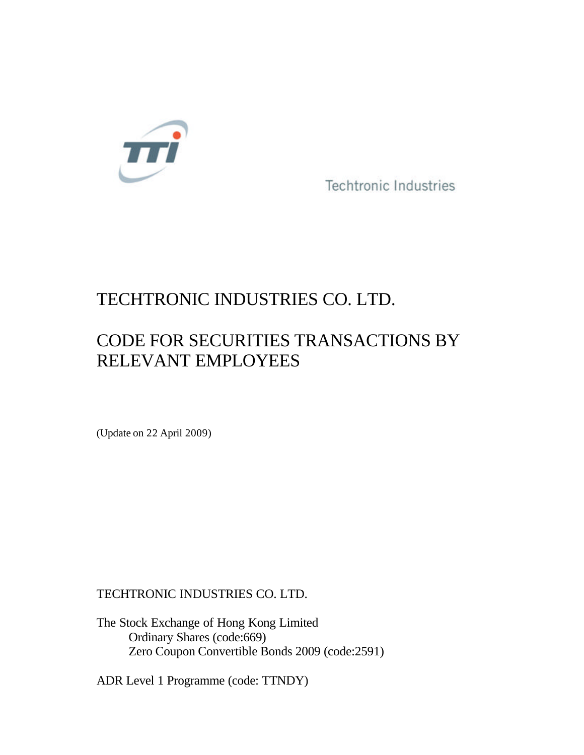

**Techtronic Industries** 

## TECHTRONIC INDUSTRIES CO. LTD.

# CODE FOR SECURITIES TRANSACTIONS BY RELEVANT EMPLOYEES

(Update on 22 April 2009)

TECHTRONIC INDUSTRIES CO. LTD.

The Stock Exchange of Hong Kong Limited Ordinary Shares (code:669) Zero Coupon Convertible Bonds 2009 (code:2591)

ADR Level 1 Programme (code: TTNDY)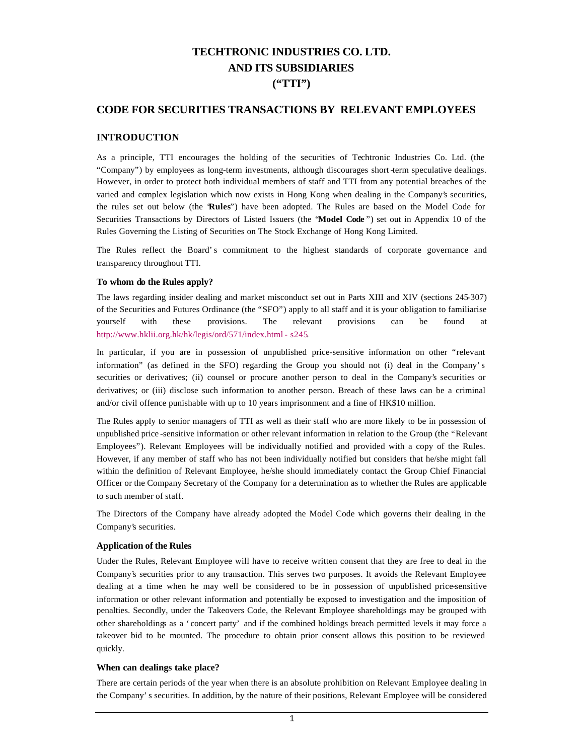## **TECHTRONIC INDUSTRIES CO. LTD. AND ITS SUBSIDIARIES ("TTI")**

## **CODE FOR SECURITIES TRANSACTIONS BY RELEVANT EMPLOYEES**

## **INTRODUCTION**

As a principle, TTI encourages the holding of the securities of Techtronic Industries Co. Ltd. (the "Company") by employees as long-term investments, although discourages short -term speculative dealings. However, in order to protect both individual members of staff and TTI from any potential breaches of the varied and complex legislation which now exists in Hong Kong when dealing in the Company's securities, the rules set out below (the "**Rules**") have been adopted. The Rules are based on the Model Code for Securities Transactions by Directors of Listed Issuers (the "**Model Code** ") set out in Appendix 10 of the Rules Governing the Listing of Securities on The Stock Exchange of Hong Kong Limited.

The Rules reflect the Board's commitment to the highest standards of corporate governance and transparency throughout TTI.

## **To whom do the Rules apply?**

The laws regarding insider dealing and market misconduct set out in Parts XIII and XIV (sections 245-307) of the Securities and Futures Ordinance (the "SFO") apply to all staff and it is your obligation to familiarise yourself with these provisions. The relevant provisions can be found at http://www.hklii.org.hk/hk/legis/ord/571/index.html - s245.

In particular, if you are in possession of unpublished price-sensitive information on other "relevant information" (as defined in the SFO) regarding the Group you should not (i) deal in the Company's securities or derivatives; (ii) counsel or procure another person to deal in the Company's securities or derivatives; or (iii) disclose such information to another person. Breach of these laws can be a criminal and/or civil offence punishable with up to 10 years imprisonment and a fine of HK\$10 million.

The Rules apply to senior managers of TTI as well as their staff who are more likely to be in possession of unpublished price -sensitive information or other relevant information in relation to the Group (the "Relevant Employees"). Relevant Employees will be individually notified and provided with a copy of the Rules. However, if any member of staff who has not been individually notified but considers that he/she might fall within the definition of Relevant Employee, he/she should immediately contact the Group Chief Financial Officer or the Company Secretary of the Company for a determination as to whether the Rules are applicable to such member of staff.

The Directors of the Company have already adopted the Model Code which governs their dealing in the Company's securities.

## **Application of the Rules**

Under the Rules, Relevant Employee will have to receive written consent that they are free to deal in the Company's securities prior to any transaction. This serves two purposes. It avoids the Relevant Employee dealing at a time when he may well be considered to be in possession of unpublished price-sensitive information or other relevant information and potentially be exposed to investigation and the imposition of penalties. Secondly, under the Takeovers Code, the Relevant Employee shareholdings may be grouped with other shareholdings as a 'concert party' and if the combined holdings breach permitted levels it may force a takeover bid to be mounted. The procedure to obtain prior consent allows this position to be reviewed quickly.

## **When can dealings take place?**

There are certain periods of the year when there is an absolute prohibition on Relevant Employee dealing in the Company's securities. In addition, by the nature of their positions, Relevant Employee will be considered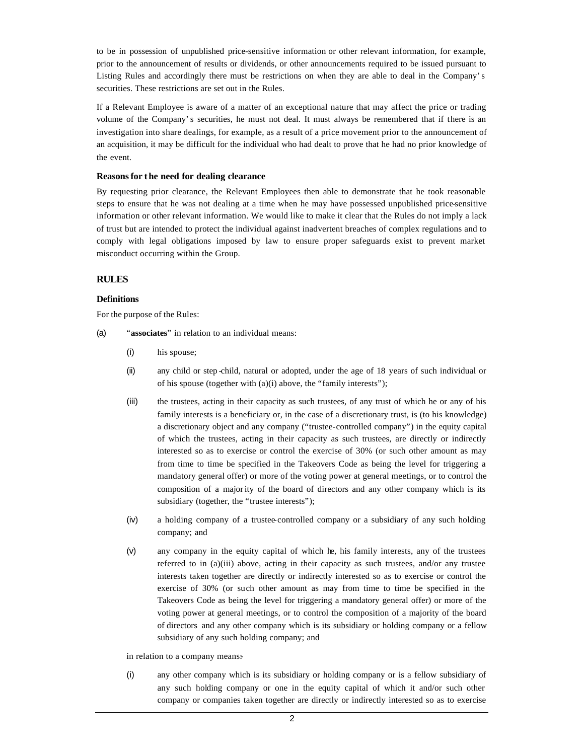to be in possession of unpublished price-sensitive information or other relevant information, for example, prior to the announcement of results or dividends, or other announcements required to be issued pursuant to Listing Rules and accordingly there must be restrictions on when they are able to deal in the Company's securities. These restrictions are set out in the Rules.

If a Relevant Employee is aware of a matter of an exceptional nature that may affect the price or trading volume of the Company's securities, he must not deal. It must always be remembered that if there is an investigation into share dealings, for example, as a result of a price movement prior to the announcement of an acquisition, it may be difficult for the individual who had dealt to prove that he had no prior knowledge of the event.

## **Reasons for t he need for dealing clearance**

By requesting prior clearance, the Relevant Employees then able to demonstrate that he took reasonable steps to ensure that he was not dealing at a time when he may have possessed unpublished price-sensitive information or other relevant information. We would like to make it clear that the Rules do not imply a lack of trust but are intended to protect the individual against inadvertent breaches of complex regulations and to comply with legal obligations imposed by law to ensure proper safeguards exist to prevent market misconduct occurring within the Group.

## **RULES**

## **Definitions**

For the purpose of the Rules:

- (a) "**associates**" in relation to an individual means:
	- (i) his spouse;
	- (ii) any child or step -child, natural or adopted, under the age of 18 years of such individual or of his spouse (together with (a)(i) above, the "family interests");
	- (iii) the trustees, acting in their capacity as such trustees, of any trust of which he or any of his family interests is a beneficiary or, in the case of a discretionary trust, is (to his knowledge) a discretionary object and any company ("trustee-controlled company") in the equity capital of which the trustees, acting in their capacity as such trustees, are directly or indirectly interested so as to exercise or control the exercise of 30% (or such other amount as may from time to time be specified in the Takeovers Code as being the level for triggering a mandatory general offer) or more of the voting power at general meetings, or to control the composition of a majority of the board of directors and any other company which is its subsidiary (together, the "trustee interests");
	- (iv) a holding company of a trustee-controlled company or a subsidiary of any such holding company; and
	- (v) any company in the equity capital of which he, his family interests, any of the trustees referred to in  $(a)(iii)$  above, acting in their capacity as such trustees, and/or any trustee interests taken together are directly or indirectly interested so as to exercise or control the exercise of 30% (or such other amount as may from time to time be specified in the Takeovers Code as being the level for triggering a mandatory general offer) or more of the voting power at general meetings, or to control the composition of a majority of the board of directors and any other company which is its subsidiary or holding company or a fellow subsidiary of any such holding company; and

#### in relation to a company means:

(i) any other company which is its subsidiary or holding company or is a fellow subsidiary of any such holding company or one in the equity capital of which it and/or such other company or companies taken together are directly or indirectly interested so as to exercise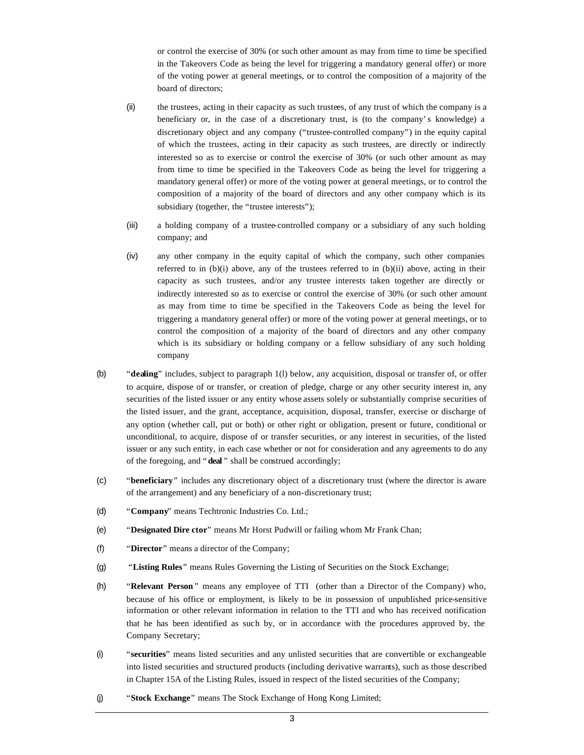or control the exercise of 30% (or such other amount as may from time to time be specified in the Takeovers Code as being the level for triggering a mandatory general offer) or more of the voting power at general meetings, or to control the composition of a majority of the board of directors;

- (ii) the trustees, acting in their capacity as such trustees, of any trust of which the company is a beneficiary or, in the case of a discretionary trust, is (to the company's knowledge) a discretionary object and any company ("trustee-controlled company") in the equity capital of which the trustees, acting in their capacity as such trustees, are directly or indirectly interested so as to exercise or control the exercise of 30% (or such other amount as may from time to time be specified in the Takeovers Code as being the level for triggering a mandatory general offer) or more of the voting power at general meetings, or to control the composition of a majority of the board of directors and any other company which is its subsidiary (together, the "trustee interests");
- (iii) a holding company of a trustee-controlled company or a subsidiary of any such holding company; and
- (iv) any other company in the equity capital of which the company, such other companies referred to in  $(b)(i)$  above, any of the trustees referred to in  $(b)(ii)$  above, acting in their capacity as such trustees, and/or any trustee interests taken together are directly or indirectly interested so as to exercise or control the exercise of 30% (or such other amount as may from time to time be specified in the Takeovers Code as being the level for triggering a mandatory general offer) or more of the voting power at general meetings, or to control the composition of a majority of the board of directors and any other company which is its subsidiary or holding company or a fellow subsidiary of any such holding company
- (b) "**dealing**" includes, subject to paragraph 1(l) below, any acquisition, disposal or transfer of, or offer to acquire, dispose of or transfer, or creation of pledge, charge or any other security interest in, any securities of the listed issuer or any entity whose assets solely or substantially comprise securities of the listed issuer, and the grant, acceptance, acquisition, disposal, transfer, exercise or discharge of any option (whether call, put or both) or other right or obligation, present or future, conditional or unconditional, to acquire, dispose of or transfer securities, or any interest in securities, of the listed issuer or any such entity, in each case whether or not for consideration and any agreements to do any of the foregoing, and "**deal** " shall be construed accordingly;
- (c) "**beneficiary**" includes any discretionary object of a discretionary trust (where the director is aware of the arrangement) and any beneficiary of a non-discretionary trust;
- (d) "**Company**" means Techtronic Industries Co. Ltd.;
- (e) "**Designated Dire ctor**" means Mr Horst Pudwill or failing whom Mr Frank Chan;
- (f) "**Director**" means a director of the Company;
- (g) "**Listing Rules**" means Rules Governing the Listing of Securities on the Stock Exchange;
- (h) "**Relevant Person** " means any employee of TTI (other than a Director of the Company) who, because of his office or employment, is likely to be in possession of unpublished price-sensitive information or other relevant information in relation to the TTI and who has received notification that he has been identified as such by, or in accordance with the procedures approved by, the Company Secretary;
- (i) "**securities**" means listed securities and any unlisted securities that are convertible or exchangeable into listed securities and structured products (including derivative warrants), such as those described in Chapter 15A of the Listing Rules, issued in respect of the listed securities of the Company;
- (j) "**Stock Exchange**" means The Stock Exchange of Hong Kong Limited;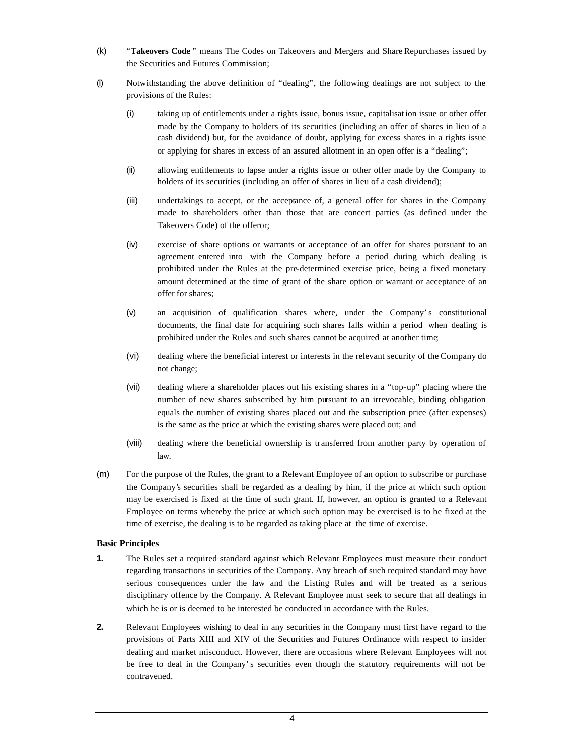- (k) "**Takeovers Code** " means The Codes on Takeovers and Mergers and Share Repurchases issued by the Securities and Futures Commission;
- (l) Notwithstanding the above definition of "dealing", the following dealings are not subject to the provisions of the Rules:
	- (i) taking up of entitlements under a rights issue, bonus issue, capitalisat ion issue or other offer made by the Company to holders of its securities (including an offer of shares in lieu of a cash dividend) but, for the avoidance of doubt, applying for excess shares in a rights issue or applying for shares in excess of an assured allotment in an open offer is a "dealing";
	- (ii) allowing entitlements to lapse under a rights issue or other offer made by the Company to holders of its securities (including an offer of shares in lieu of a cash dividend);
	- (iii) undertakings to accept, or the acceptance of, a general offer for shares in the Company made to shareholders other than those that are concert parties (as defined under the Takeovers Code) of the offeror;
	- (iv) exercise of share options or warrants or acceptance of an offer for shares pursuant to an agreement entered into with the Company before a period during which dealing is prohibited under the Rules at the pre-determined exercise price, being a fixed monetary amount determined at the time of grant of the share option or warrant or acceptance of an offer for shares;
	- (v) an acquisition of qualification shares where, under the Company's constitutional documents, the final date for acquiring such shares falls within a period when dealing is prohibited under the Rules and such shares cannot be acquired at another time;
	- (vi) dealing where the beneficial interest or interests in the relevant security of the Company do not change;
	- (vii) dealing where a shareholder places out his existing shares in a "top-up" placing where the number of new shares subscribed by him pursuant to an irrevocable, binding obligation equals the number of existing shares placed out and the subscription price (after expenses) is the same as the price at which the existing shares were placed out; and
	- (viii) dealing where the beneficial ownership is transferred from another party by operation of law.
- (m) For the purpose of the Rules, the grant to a Relevant Employee of an option to subscribe or purchase the Company's securities shall be regarded as a dealing by him, if the price at which such option may be exercised is fixed at the time of such grant. If, however, an option is granted to a Relevant Employee on terms whereby the price at which such option may be exercised is to be fixed at the time of exercise, the dealing is to be regarded as taking place at the time of exercise.

## **Basic Principles**

- **1.** The Rules set a required standard against which Relevant Employees must measure their conduct regarding transactions in securities of the Company. Any breach of such required standard may have serious consequences under the law and the Listing Rules and will be treated as a serious disciplinary offence by the Company. A Relevant Employee must seek to secure that all dealings in which he is or is deemed to be interested be conducted in accordance with the Rules.
- **2.** Relevant Employees wishing to deal in any securities in the Company must first have regard to the provisions of Parts XIII and XIV of the Securities and Futures Ordinance with respect to insider dealing and market misconduct. However, there are occasions where Relevant Employees will not be free to deal in the Company's securities even though the statutory requirements will not be contravened.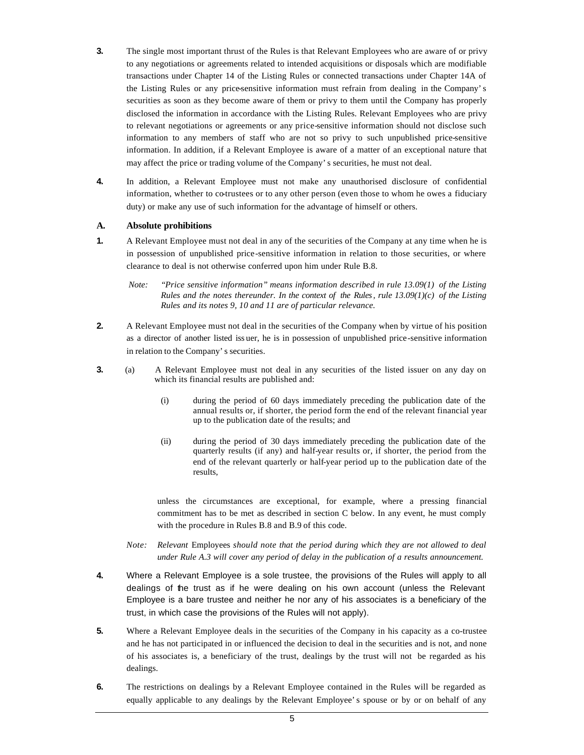- **3.** The single most important thrust of the Rules is that Relevant Employees who are aware of or privy to any negotiations or agreements related to intended acquisitions or disposals which are modifiable transactions under Chapter 14 of the Listing Rules or connected transactions under Chapter 14A of the Listing Rules or any price-sensitive information must refrain from dealing in the Company's securities as soon as they become aware of them or privy to them until the Company has properly disclosed the information in accordance with the Listing Rules. Relevant Employees who are privy to relevant negotiations or agreements or any price-sensitive information should not disclose such information to any members of staff who are not so privy to such unpublished price-sensitive information. In addition, if a Relevant Employee is aware of a matter of an exceptional nature that may affect the price or trading volume of the Company's securities, he must not deal.
- **4.** In addition, a Relevant Employee must not make any unauthorised disclosure of confidential information, whether to co-trustees or to any other person (even those to whom he owes a fiduciary duty) or make any use of such information for the advantage of himself or others.

## **A. Absolute prohibitions**

- **1.** A Relevant Employee must not deal in any of the securities of the Company at any time when he is in possession of unpublished price-sensitive information in relation to those securities, or where clearance to deal is not otherwise conferred upon him under Rule B.8.
	- *Note: "Price sensitive information" means information described in rule 13.09(1) of the Listing Rules and the notes thereunder. In the context of the Rules, rule 13.09(1)(c) of the Listing Rules and its notes 9, 10 and 11 are of particular relevance.*
- **2.** A Relevant Employee must not deal in the securities of the Company when by virtue of his position as a director of another listed iss uer, he is in possession of unpublished price-sensitive information in relation to the Company's securities.
- **3.** (a) A Relevant Employee must not deal in any securities of the listed issuer on any day on which its financial results are published and:
	- (i) during the period of 60 days immediately preceding the publication date of the annual results or, if shorter, the period form the end of the relevant financial year up to the publication date of the results; and
	- (ii) during the period of 30 days immediately preceding the publication date of the quarterly results (if any) and half-year results or, if shorter, the period from the end of the relevant quarterly or half-year period up to the publication date of the results,

unless the circumstances are exceptional, for example, where a pressing financial commitment has to be met as described in section C below. In any event, he must comply with the procedure in Rules B.8 and B.9 of this code.

- *Note: Relevant* Employees *should note that the period during which they are not allowed to deal under Rule A.3 will cover any period of delay in the publication of a results announcement.*
- **4.** Where a Relevant Employee is a sole trustee, the provisions of the Rules will apply to all dealings of the trust as if he were dealing on his own account (unless the Relevant Employee is a bare trustee and neither he nor any of his associates is a beneficiary of the trust, in which case the provisions of the Rules will not apply).
- **5.** Where a Relevant Employee deals in the securities of the Company in his capacity as a co-trustee and he has not participated in or influenced the decision to deal in the securities and is not, and none of his associates is, a beneficiary of the trust, dealings by the trust will not be regarded as his dealings.
- **6.** The restrictions on dealings by a Relevant Employee contained in the Rules will be regarded as equally applicable to any dealings by the Relevant Employee's spouse or by or on behalf of any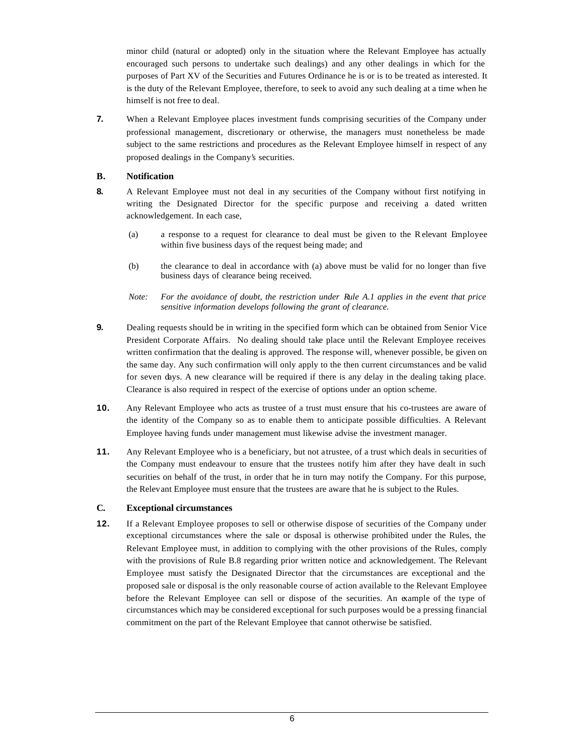minor child (natural or adopted) only in the situation where the Relevant Employee has actually encouraged such persons to undertake such dealings) and any other dealings in which for the purposes of Part XV of the Securities and Futures Ordinance he is or is to be treated as interested. It is the duty of the Relevant Employee, therefore, to seek to avoid any such dealing at a time when he himself is not free to deal.

**7.** When a Relevant Employee places investment funds comprising securities of the Company under professional management, discretionary or otherwise, the managers must nonetheless be made subject to the same restrictions and procedures as the Relevant Employee himself in respect of any proposed dealings in the Company's securities.

## **B. Notification**

- **8.** A Relevant Employee must not deal in any securities of the Company without first notifying in writing the Designated Director for the specific purpose and receiving a dated written acknowledgement. In each case,
	- (a) a response to a request for clearance to deal must be given to the Relevant Employee within five business days of the request being made; and
	- (b) the clearance to deal in accordance with (a) above must be valid for no longer than five business days of clearance being received.
	- *Note: For the avoidance of doubt, the restriction under Rule A.1 applies in the event that price sensitive information develops following the grant of clearance.*
- **9.** Dealing requests should be in writing in the specified form which can be obtained from Senior Vice President Corporate Affairs. No dealing should take place until the Relevant Employee receives written confirmation that the dealing is approved. The response will, whenever possible, be given on the same day. Any such confirmation will only apply to the then current circumstances and be valid for seven days. A new clearance will be required if there is any delay in the dealing taking place. Clearance is also required in respect of the exercise of options under an option scheme.
- **10.** Any Relevant Employee who acts as trustee of a trust must ensure that his co-trustees are aware of the identity of the Company so as to enable them to anticipate possible difficulties. A Relevant Employee having funds under management must likewise advise the investment manager.
- **11.** Any Relevant Employee who is a beneficiary, but not a trustee, of a trust which deals in securities of the Company must endeavour to ensure that the trustees notify him after they have dealt in such securities on behalf of the trust, in order that he in turn may notify the Company. For this purpose, the Relevant Employee must ensure that the trustees are aware that he is subject to the Rules.

## **C. Exceptional circumstances**

**12.** If a Relevant Employee proposes to sell or otherwise dispose of securities of the Company under exceptional circumstances where the sale or disposal is otherwise prohibited under the Rules, the Relevant Employee must, in addition to complying with the other provisions of the Rules, comply with the provisions of Rule B.8 regarding prior written notice and acknowledgement. The Relevant Employee must satisfy the Designated Director that the circumstances are exceptional and the proposed sale or disposal is the only reasonable course of action available to the Relevant Employee before the Relevant Employee can sell or dispose of the securities. An example of the type of circumstances which may be considered exceptional for such purposes would be a pressing financial commitment on the part of the Relevant Employee that cannot otherwise be satisfied.